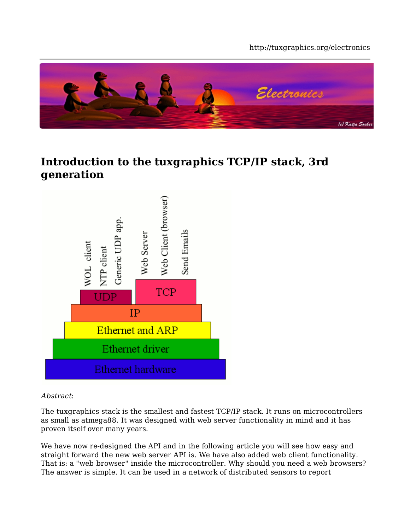#### http://tuxgraphics.org/electronics



#### **Introduction to the tuxgraphics TCP/IP stack, 3rd generation**



Abstract:

The tuxgraphics stack is the smallest and fastest TCP/IP stack. It runs on microcontrollers as small as atmega88. It was designed with web server functionality in mind and it has proven itself over many years.

We have now re-designed the API and in the following article you will see how easy and straight forward the new web server API is. We have also added web client functionality. That is: a "web browser" inside the microcontroller. Why should you need a web browsers? The answer is simple. It can be used in a network of distributed sensors to report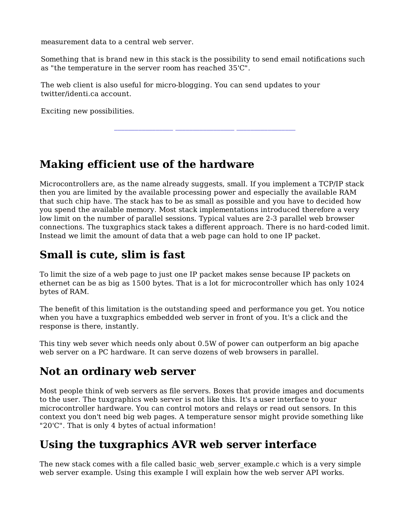measurement data to a central web server.

Something that is brand new in this stack is the possibility to send email notifications such as "the temperature in the server room has reached 35'C".

**\_\_\_\_\_\_\_\_\_\_\_\_\_\_\_\_\_ \_\_\_\_\_\_\_\_\_\_\_\_\_\_\_\_\_ \_\_\_\_\_\_\_\_\_\_\_\_\_\_\_\_\_**

The web client is also useful for micro-blogging. You can send updates to your twitter/identi.ca account.

Exciting new possibilities.

## **Making efficient use of the hardware**

Microcontrollers are, as the name already suggests, small. If you implement a TCP/IP stack then you are limited by the available processing power and especially the available RAM that such chip have. The stack has to be as small as possible and you have to decided how you spend the available memory. Most stack implementations introduced therefore a very low limit on the number of parallel sessions. Typical values are 2-3 parallel web browser connections. The tuxgraphics stack takes a different approach. There is no hard-coded limit. Instead we limit the amount of data that a web page can hold to one IP packet.

## **Small is cute, slim is fast**

To limit the size of a web page to just one IP packet makes sense because IP packets on ethernet can be as big as 1500 bytes. That is a lot for microcontroller which has only 1024 bytes of RAM.

The benefit of this limitation is the outstanding speed and performance you get. You notice when you have a tuxgraphics embedded web server in front of you. It's a click and the response is there, instantly.

This tiny web sever which needs only about 0.5W of power can outperform an big apache web server on a PC hardware. It can serve dozens of web browsers in parallel.

## **Not an ordinary web server**

Most people think of web servers as file servers. Boxes that provide images and documents to the user. The tuxgraphics web server is not like this. It's a user interface to your microcontroller hardware. You can control motors and relays or read out sensors. In this context you don't need big web pages. A temperature sensor might provide something like "20'C". That is only 4 bytes of actual information!

## **Using the tuxgraphics AVR web server interface**

The new stack comes with a file called basic web server example.c which is a very simple web server example. Using this example I will explain how the web server API works.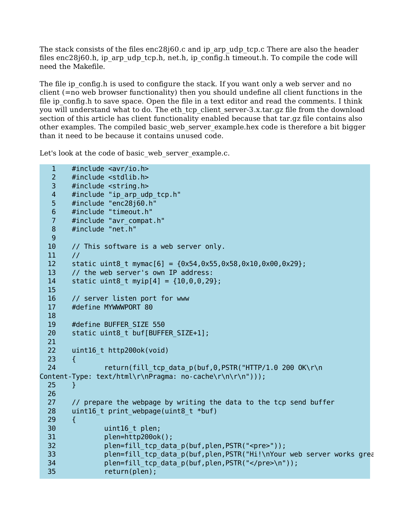The stack consists of the files  $enc28j60.c$  and ip arp udp tcp.c There are also the header files enc28j60.h, ip\_arp\_udp\_tcp.h, net.h, ip\_config.h timeout.h. To compile the code will need the Makefile.

The file ip config.h is used to configure the stack. If you want only a web server and no client (=no web browser functionality) then you should undefine all client functions in the file ip config.h to save space. Open the file in a text editor and read the comments. I think you will understand what to do. The eth tcp client server-3.x.tar.gz file from the download section of this article has client functionality enabled because that tar.gz file contains also other examples. The compiled basic\_web\_server\_example.hex code is therefore a bit bigger than it need to be because it contains unused code.

Let's look at the code of basic web server example.c.

```
 1 #include <avr/io.h>
   2 #include <stdlib.h>
   3 #include <string.h>
   4 #include "ip_arp_udp_tcp.h"
   5 #include "enc28j60.h"
   6 #include "timeout.h"
   7 #include "avr_compat.h"
   8 #include "net.h"
   9
  10 // This software is a web server only.
 11 /12 static uint8 t mymac[6] = {0x54,0x55,0x58,0x10,0x00,0x29};
  13 // the web server's own IP address:
 14 static uint8 t myip[4] = {10,0,0,29};
  15
  16 // server listen port for www
  17 #define MYWWWPORT 80
  18
  19 #define BUFFER_SIZE 550
 20 static uint8 t buf[BUFFER SIZE+1];
  21
  22 uint16_t http200ok(void)
  23 {
  24 return(fill_tcp_data_p(buf,0,PSTR("HTTP/1.0 200 OK\r\n
Content-Type: text/html\r\nPragma: no-cache\r\n\r\n")));
  25 }
  26
 27 // prepare the webpage by writing the data to the tcp send buffer
  28 uint16_t print_webpage(uint8_t *buf)
  29 {
  30 uint16_t plen;
  31 plen=http200ok();
 32 plen=fill tcp data p(buf,plen,PSTR("<pre>"));
 33 plen=fill tcp data p(buf,plen,PSTR("Hi!\nYour web server works great.")
 34 plen=fill tcp data p(buf,plen,PSTR("</pre>\n"));
  35 return(plen);
```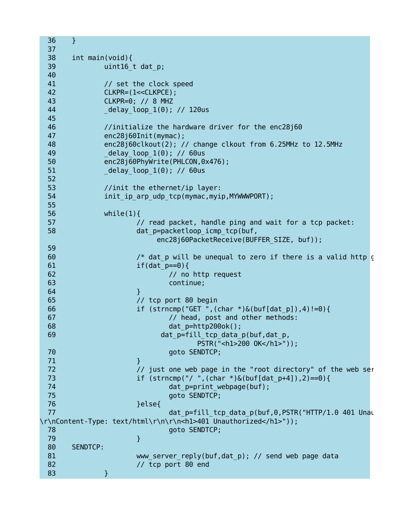```
 36 }
  37
  38 int main(void){
 39 uint16 t dat p;
  40
  41 // set the clock speed
 42 CLKPR=(1<<CLKPCE);
  43 CLKPR=0; // 8 MHZ
  44 _delay_loop_1(0); // 120us
  45
  46 //initialize the hardware driver for the enc28j60
  47 enc28j60Init(mymac);
  48 enc28j60clkout(2); // change clkout from 6.25MHz to 12.5MHz
 49 delay loop 1(0); // 60us
  50 enc28j60PhyWrite(PHLCON,0x476);
 51 delay loop 1(0); // 60us
  52
  53 //init the ethernet/ip layer:
 54 init ip arp udp tcp(mymac,myip,MYWWPORT);
  55
  56 while(1){
 57 // read packet, handle ping and wait for a tcp packet:
 58 dat p=packetloop icmp tcp(buf,
                    enc28j60PacketReceive(BUFFER SIZE, buf));
  59
 60 /* dat p will be unequal to zero if there is a valid http get \ell^*61 if(dat p == 0}{
 62 // no http request
  63 continue;
 64 }
  65 // tcp port 80 begin
 66 if (strncmp("GET ",(char *\&(buf[dat p]),4)!=0){
 67 // head, post and other methods:
  68 dat_p=http200ok();
 69 dat p=fill tcp data p(buf,dat p,
                             PSTR("<h1>200 OK</h1>"));
  70 goto SENDTCP;
 71 }
 72 // just one web page in the "root directory" of the web servers
  73 if (strncmp("/ ",(char *)&(buf[dat_p+4]),2)==0){
 74 dat p=print webpage(buf);
  75 goto SENDTCP;
 76 } and a set of \{ else{
 77 dat p=fill tcp data p(buf,0,PSTR("HTTP/1.0 401 Unauthorized by data p(buf,0,PSTR("HTTP/1.0 401 Unauthorize
\r\nContent-Type: text/html\r\n\r\n<h1>401 Unauthorized</h1>"));
  78 goto SENDTCP;
 79 }
  80 SENDTCP:
 81 www.server.reply(buf,dat.p); // send web page data
  82 // tcp port 80 end
 83 and 3
```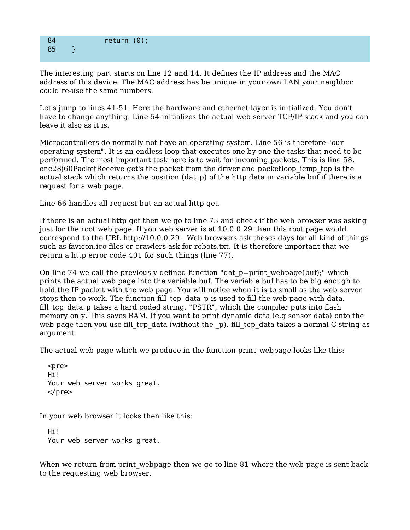#### 84 return (0); 85 }

The interesting part starts on line 12 and 14. It defines the IP address and the MAC address of this device. The MAC address has be unique in your own LAN your neighbor could re-use the same numbers.

Let's jump to lines 41-51. Here the hardware and ethernet layer is initialized. You don't have to change anything. Line 54 initializes the actual web server TCP/IP stack and you can leave it also as it is.

Microcontrollers do normally not have an operating system. Line 56 is therefore "our operating system". It is an endless loop that executes one by one the tasks that need to be performed. The most important task here is to wait for incoming packets. This is line 58. enc28j60PacketReceive get's the packet from the driver and packetloop\_icmp\_tcp is the actual stack which returns the position (dat\_p) of the http data in variable buf if there is a request for a web page.

Line 66 handles all request but an actual http-get.

If there is an actual http get then we go to line 73 and check if the web browser was asking just for the root web page. If you web server is at 10.0.0.29 then this root page would correspond to the URL http://10.0.0.29 . Web browsers ask theses days for all kind of things such as favicon.ico files or crawlers ask for robots.txt. It is therefore important that we return a http error code 401 for such things (line 77).

On line 74 we call the previously defined function "dat p=print webpage(buf);" which prints the actual web page into the variable buf. The variable buf has to be big enough to hold the IP packet with the web page. You will notice when it is to small as the web server stops then to work. The function fill tcp data p is used to fill the web page with data. fill tcp data p takes a hard coded string, "PSTR", which the compiler puts into flash memory only. This saves RAM. If you want to print dynamic data (e.g sensor data) onto the web page then you use fill tcp data (without the  $p$ ). fill tcp data takes a normal C-string as argument.

The actual web page which we produce in the function print\_webpage looks like this:

```
 <pre>
 Hi!
 Your web server works great.
</pre>
```
In your web browser it looks then like this:

 Hi! Your web server works great.

When we return from print webpage then we go to line 81 where the web page is sent back to the requesting web browser.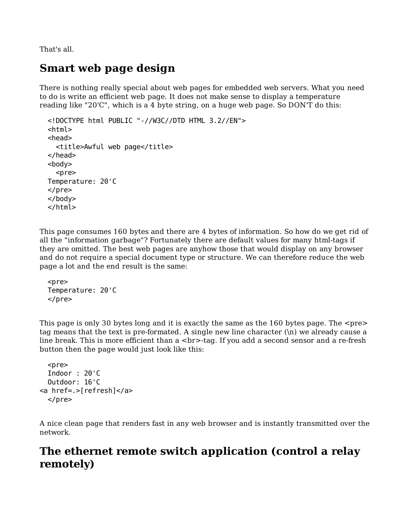That's all.

## **Smart web page design**

There is nothing really special about web pages for embedded web servers. What you need to do is write an efficient web page. It does not make sense to display a temperature reading like "20'C", which is a 4 byte string, on a huge web page. So DON'T do this:

```
 <!DOCTYPE html PUBLIC "-//W3C//DTD HTML 3.2//EN">
 <html>
 <head>
   <title>Awful web page</title>
 </head>
 <body>
   <pre>
 Temperature: 20'C
</pre> </body>
 </html>
```
This page consumes 160 bytes and there are 4 bytes of information. So how do we get rid of all the "information garbage"? Fortunately there are default values for many html-tags if they are omitted. The best web pages are anyhow those that would display on any browser and do not require a special document type or structure. We can therefore reduce the web page a lot and the end result is the same:

```
<sub>pre</sub></sub>
 Temperature: 20'C
</pre>
```
This page is only 30 bytes long and it is exactly the same as the  $160$  bytes page. The  $\leq$ pre $\geq$ tag means that the text is pre-formated. A single new line character (\n) we already cause a line break. This is more efficient than a  $\langle$ br>-tag. If you add a second sensor and a re-fresh button then the page would just look like this:

```
 <pre>
   Indoor : 20'C
   Outdoor: 16'C
<a href=.>[refresh]</a>
  </pre>
```
A nice clean page that renders fast in any web browser and is instantly transmitted over the network.

## **The ethernet remote switch application (control a relay remotely)**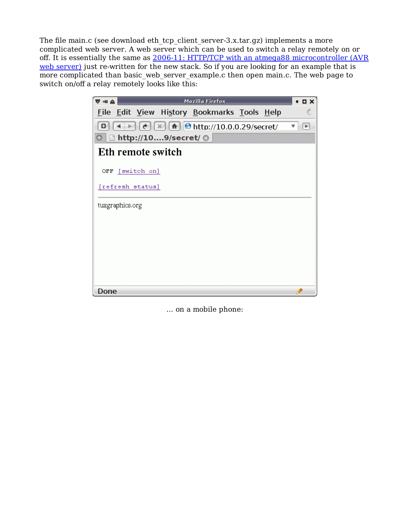The file main.c (see download eth tcp client server-3.x.tar.gz) implements a more complicated web server. A web server which can be used to switch a relay remotely on or off. It is essentially the same as 2006-11: HTTP/TCP with an atmega88 microcontroller (AVR web server) just re-written for the new stack. So if you are looking for an example that is more complicated than basic web server example.c then open main.c. The web page to switch on/off a relay remotely looks like this:



... on a mobile phone: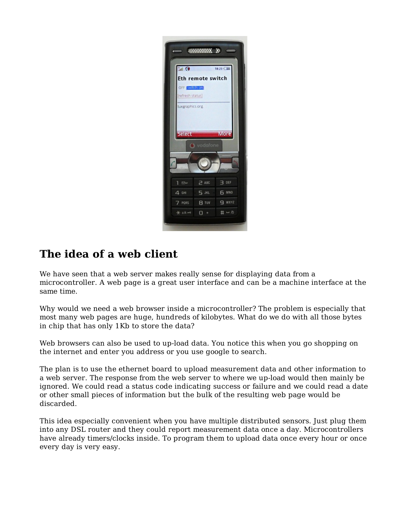| $\bullet$ in.        |                   | 18:23 日  |
|----------------------|-------------------|----------|
|                      | Eth remote switch |          |
| OFF <b>Ewitch</b> on |                   |          |
| [refresh status]     |                   |          |
| tuxgraphics.org      |                   |          |
|                      |                   |          |
|                      |                   |          |
|                      |                   |          |
| Select               |                   | More     |
|                      | wodafone          |          |
|                      |                   |          |
|                      |                   |          |
|                      |                   |          |
| $\mathbb{Z}^n$<br>٦  | $\geq$ ABC        | 3<br>DEF |
| 4.6H                 | 5.301             | 6<br>MNO |
| PORS<br>7.           | <b>8 TUV</b>      | $9$ wxyz |

# **The idea of a web client**

We have seen that a web server makes really sense for displaying data from a microcontroller. A web page is a great user interface and can be a machine interface at the same time.

Why would we need a web browser inside a microcontroller? The problem is especially that most many web pages are huge, hundreds of kilobytes. What do we do with all those bytes in chip that has only 1Kb to store the data?

Web browsers can also be used to up-load data. You notice this when you go shopping on the internet and enter you address or you use google to search.

The plan is to use the ethernet board to upload measurement data and other information to a web server. The response from the web server to where we up-load would then mainly be ignored. We could read a status code indicating success or failure and we could read a date or other small pieces of information but the bulk of the resulting web page would be discarded.

This idea especially convenient when you have multiple distributed sensors. Just plug them into any DSL router and they could report measurement data once a day. Microcontrollers have already timers/clocks inside. To program them to upload data once every hour or once every day is very easy.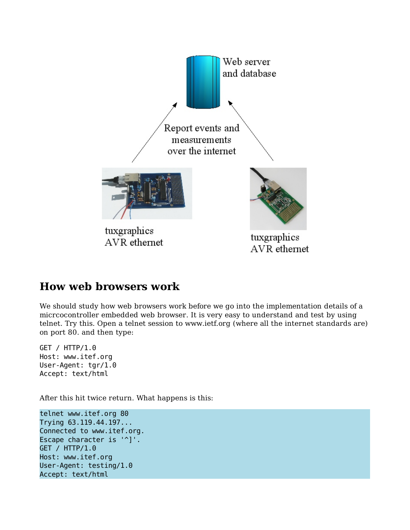

#### **How web browsers work**

We should study how web browsers work before we go into the implementation details of a micrcocontroller embedded web browser. It is very easy to understand and test by using telnet. Try this. Open a telnet session to www.ietf.org (where all the internet standards are) on port 80. and then type:

GET / HTTP/1.0 Host: www.itef.org User-Agent: tgr/1.0 Accept: text/html

After this hit twice return. What happens is this:

telnet www.itef.org 80 Trying 63.119.44.197... Connected to www.itef.org. Escape character is '^]'. GET / HTTP/1.0 Host: www.itef.org User-Agent: testing/1.0 Accept: text/html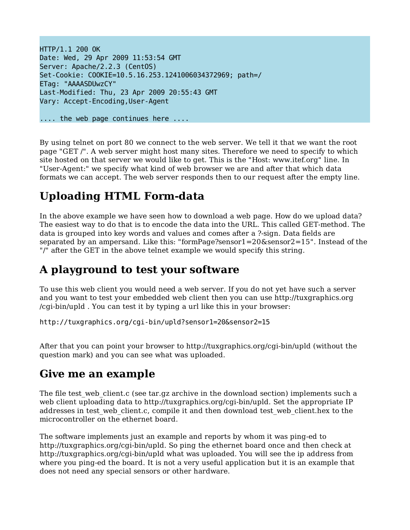HTTP/1.1 200 OK Date: Wed, 29 Apr 2009 11:53:54 GMT Server: Apache/2.2.3 (CentOS) Set-Cookie: COOKIE=10.5.16.253.1241006034372969; path=/ ETag: "AAAASDUwzCY" Last-Modified: Thu, 23 Apr 2009 20:55:43 GMT Vary: Accept-Encoding,User-Agent

.... the web page continues here ....

By using telnet on port 80 we connect to the web server. We tell it that we want the root page "GET /". A web server might host many sites. Therefore we need to specify to which site hosted on that server we would like to get. This is the "Host: www.itef.org" line. In "User-Agent:" we specify what kind of web browser we are and after that which data formats we can accept. The web server responds then to our request after the empty line.

# **Uploading HTML Form-data**

In the above example we have seen how to download a web page. How do we upload data? The easiest way to do that is to encode the data into the URL. This called GET-method. The data is grouped into key words and values and comes after a ?-sign. Data fields are separated by an ampersand. Like this: "formPage?sensor1=20&sensor2=15". Instead of the "/" after the GET in the above telnet example we would specify this string.

## **A playground to test your software**

To use this web client you would need a web server. If you do not yet have such a server and you want to test your embedded web client then you can use http://tuxgraphics.org /cgi-bin/upld . You can test it by typing a url like this in your browser:

http://tuxgraphics.org/cgi-bin/upld?sensor1=20&sensor2=15

After that you can point your browser to http://tuxgraphics.org/cgi-bin/upld (without the question mark) and you can see what was uploaded.

#### **Give me an example**

The file test web client.c (see tar.gz archive in the download section) implements such a web client uploading data to http://tuxgraphics.org/cgi-bin/upld. Set the appropriate IP addresses in test web client.c, compile it and then download test web client.hex to the microcontroller on the ethernet board.

The software implements just an example and reports by whom it was ping-ed to http://tuxgraphics.org/cgi-bin/upld. So ping the ethernet board once and then check at http://tuxgraphics.org/cgi-bin/upld what was uploaded. You will see the ip address from where you ping-ed the board. It is not a very useful application but it is an example that does not need any special sensors or other hardware.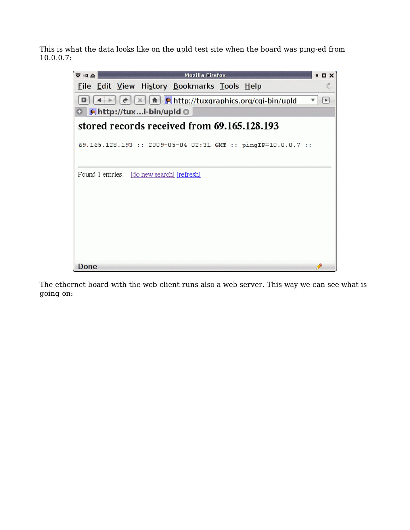This is what the data looks like on the upld test site when the board was ping-ed from 10.0.0.7:



The ethernet board with the web client runs also a web server. This way we can see what is going on: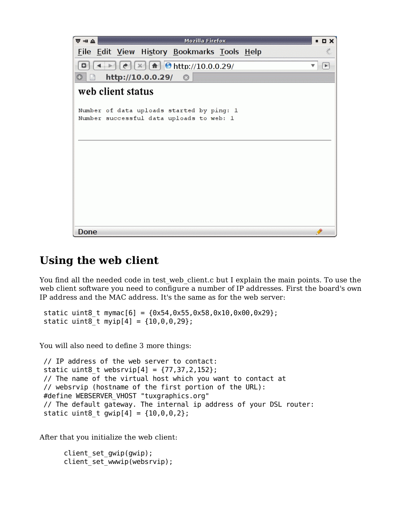

#### **Using the web client**

You find all the needed code in test web client.c but I explain the main points. To use the web client software you need to configure a number of IP addresses. First the board's own IP address and the MAC address. It's the same as for the web server:

static uint8 t mymac[6] =  ${0x54,0x55,0x58,0x10,0x00,0x29};$ static uint8 t myip[4] =  ${10,0,0,29}$ ;

You will also need to define 3 more things:

```
 // IP address of the web server to contact:
static uint8 t websrvip[4] = \{77, 37, 2, 152\}; // The name of the virtual host which you want to contact at
 // websrvip (hostname of the first portion of the URL):
 #define WEBSERVER_VHOST "tuxgraphics.org"
 // The default gateway. The internal ip address of your DSL router:
static uint8 t gwip[4] = {10, 0, 0, 2};
```
After that you initialize the web client:

```
client set gwip(gwip);
client set_wwwip(websrvip);
```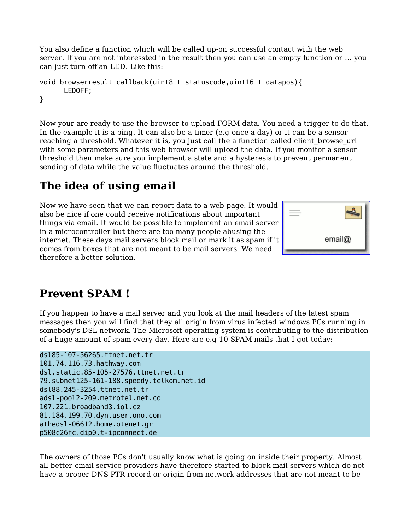You also define a function which will be called up-on successful contact with the web server. If you are not interessted in the result then you can use an empty function or ... you can just turn off an LED. Like this:

```
void browserresult_callback(uint8_t statuscode,uint16_t datapos){
       LEDOFF;
}
```
Now your are ready to use the browser to upload FORM-data. You need a trigger to do that. In the example it is a ping. It can also be a timer (e.g once a day) or it can be a sensor reaching a threshold. Whatever it is, you just call the a function called client\_browse\_url with some parameters and this web browser will upload the data. If you monitor a sensor threshold then make sure you implement a state and a hysteresis to prevent permanent sending of data while the value fluctuates around the threshold.

# **The idea of using email**

Now we have seen that we can report data to a web page. It would also be nice if one could receive notifications about important things via email. It would be possible to implement an email server in a microcontroller but there are too many people abusing the internet. These days mail servers block mail or mark it as spam if it comes from boxes that are not meant to be mail servers. We need therefore a better solution.



# **Prevent SPAM !**

If you happen to have a mail server and you look at the mail headers of the latest spam messages then you will find that they all origin from virus infected windows PCs running in somebody's DSL network. The Microsoft operating system is contributing to the distribution of a huge amount of spam every day. Here are e.g 10 SPAM mails that I got today:

```
dsl85-107-56265.ttnet.net.tr
101.74.116.73.hathway.com
dsl.static.85-105-27576.ttnet.net.tr
79.subnet125-161-188.speedy.telkom.net.id
dsl88.245-3254.ttnet.net.tr
adsl-pool2-209.metrotel.net.co
107.221.broadband3.iol.cz
81.184.199.70.dyn.user.ono.com
athedsl-06612.home.otenet.gr
p508c26fc.dip0.t-ipconnect.de
```
The owners of those PCs don't usually know what is going on inside their property. Almost all better email service providers have therefore started to block mail servers which do not have a proper DNS PTR record or origin from network addresses that are not meant to be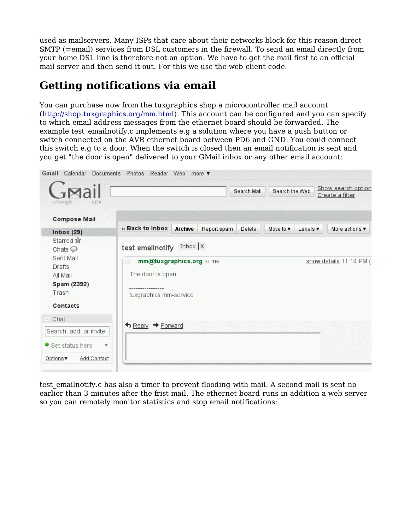used as mailservers. Many ISPs that care about their networks block for this reason direct SMTP (=email) services from DSL customers in the firewall. To send an email directly from your home DSL line is therefore not an option. We have to get the mail first to an official mail server and then send it out. For this we use the web client code.

# **Getting notifications via email**

You can purchase now from the tuxgraphics shop a microcontroller mail account (http://shop.tuxgraphics.org/mm.html). This account can be configured and you can specify to which email address messages from the ethernet board should be forwarded. The example test emailnotify.c implements e.g a solution where you have a push button or switch connected on the AVR ethernet board between PD6 and GND. You could connect this switch e.g to a door. When the switch is closed then an email notification is sent and you get "the door is open" delivered to your GMail inbox or any other email account:



test emailnotify.c has also a timer to prevent flooding with mail. A second mail is sent no earlier than 3 minutes after the frist mail. The ethernet board runs in addition a web server so you can remotely monitor statistics and stop email notifications: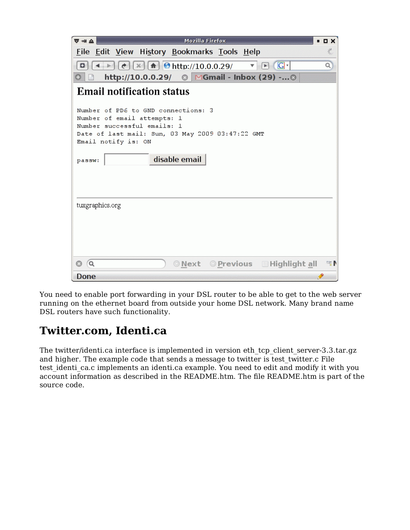| $\overline{\nabla}$ = $\Delta$<br><b>Mozilla Firefox</b>                                                                                                                                                                                                                          | $\blacksquare$                        |
|-----------------------------------------------------------------------------------------------------------------------------------------------------------------------------------------------------------------------------------------------------------------------------------|---------------------------------------|
| File Edit View History Bookmarks Tools Help                                                                                                                                                                                                                                       | $\frac{\Delta H}{\Delta \mu_{\rm C}}$ |
| $\leftarrow$ $\left  e \right  \left[ x \right] \left[ \frac{1}{2} \right]$ $\left  \frac{1}{2} \right $ $\left  \frac{1}{2} \right $ $\left  \frac{1}{2} \right $ $\left  \frac{1}{2} \right $<br>$\boxed{\triangleright}$ $\boxed{\text{G}}$ $\cdot$<br>$\overline{\mathbf{v}}$ | Q                                     |
| http://10.0.0.29/ © MGmail - Inbox (29) - ©                                                                                                                                                                                                                                       |                                       |
| <b>Email notification status</b>                                                                                                                                                                                                                                                  |                                       |
| Number of PD6 to GND connections: 3<br>Number of email attempts: 1<br>Number successful emails: 1<br>Date of last mail: Sun, 03 May 2009 03:47:22 GMT<br>Email notify is: ON<br>disable email<br>passw:                                                                           |                                       |
| tuxgraphics.org                                                                                                                                                                                                                                                                   |                                       |
| ONext OPrevious EHighlight all<br>Q<br>Done                                                                                                                                                                                                                                       | 經書                                    |

You need to enable port forwarding in your DSL router to be able to get to the web server running on the ethernet board from outside your home DSL network. Many brand name DSL routers have such functionality.

# **Twitter.com, Identi.ca**

The twitter/identi.ca interface is implemented in version eth\_tcp\_client\_server-3.3.tar.gz and higher. The example code that sends a message to twitter is test twitter.c File test identi ca.c implements an identi.ca example. You need to edit and modify it with you account information as described in the README.htm. The file README.htm is part of the source code.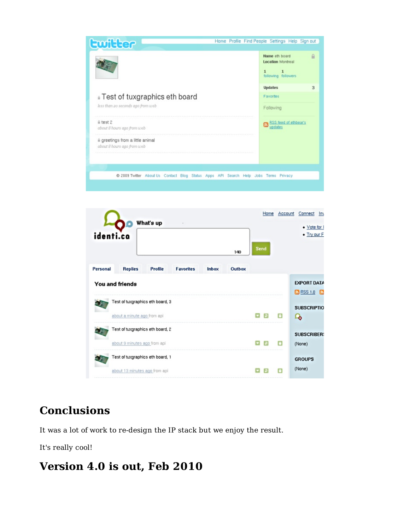



# **Conclusions**

It was a lot of work to re-design the IP stack but we enjoy the result.

It's really cool!

#### **Version 4.0 is out, Feb 2010**